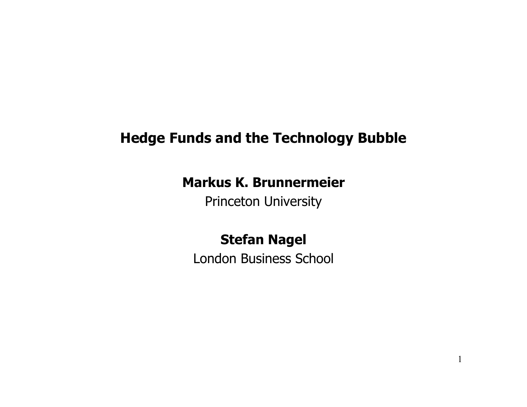# **Hedge Funds and the Technology Bubble**

# **Markus K. Brunnermeier**

Princeton University

# **Stefan Nagel**

London Business School

1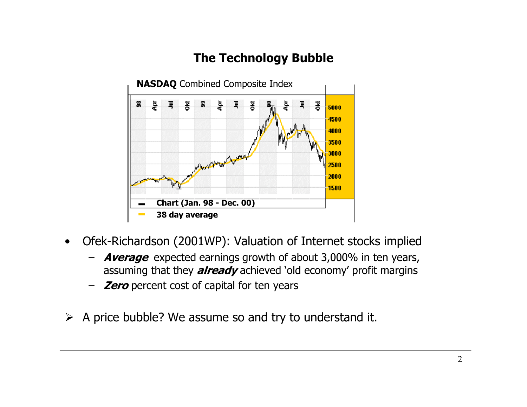# **The Technology Bubble**



- • Ofek-Richardson (2001WP): Valuation of Internet stocks implied
	- – **Average** expected earnings growth of about 3,000% in ten years, assuming that they **already** achieved 'old economy' profit margins
	- **Zero** percent cost of capital for ten years
- $\triangleright$  A price bubble? We assume so and try to understand it.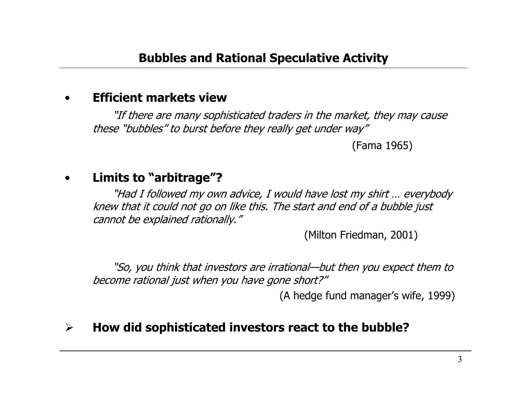#### •**Efficient markets view**

"If there are many sophisticated traders in the market, they may cause these "bubbles" to burst before they really get under way"

(Fama 1965)

### •**Limits to "arbitrage"?**

"Had I followed my own advice, I would have lost my shirt … everybody knew that it could not go on like this. The start and end of a bubble just cannot be explained rationally."

(Milton Friedman, 2001)

"So, you think that investors are irrational—but then you expect them to become rational just when you have gone short?"

(A hedge fund manager's wife, 1999)

### $\blacktriangleright$ **How did sophisticated investors react to the bubble?**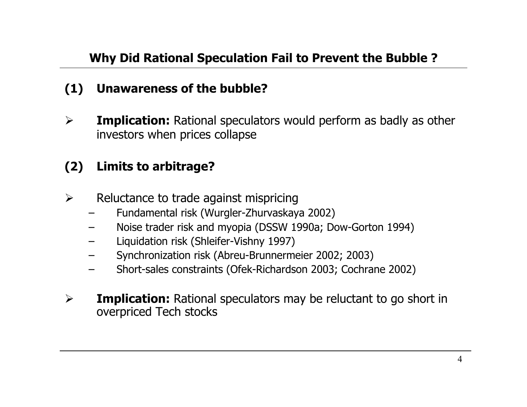# **(1) Unawareness of the bubble?**

 $\blacktriangleright$  **Implication:** Rational speculators would perform as badly as other investors when prices collapse

# **(2) Limits to arbitrage?**

- $\blacktriangleright$  Reluctance to trade against mispricing
	- Fundamental risk (Wurgler-Zhurvaskaya 2002)
	- –Noise trader risk and myopia (DSSW 1990a; Dow-Gorton 1994)
	- Liquidation risk (Shleifer-Vishny 1997)
	- Synchronization risk (Abreu-Brunnermeier 2002; 2003)
	- –Short-sales constraints (Ofek-Richardson 2003; Cochrane 2002)
- $\blacktriangleright$ **Implication:** Rational speculators may be reluctant to go short in overpriced Tech stocks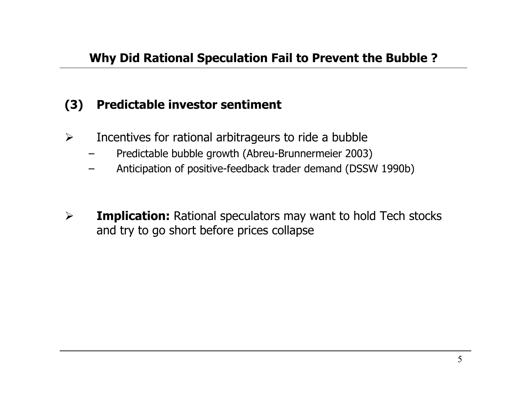## **(3) Predictable investor sentiment**

- $\blacktriangleright$  Incentives for rational arbitrageurs to ride a bubble
	- –Predictable bubble growth (Abreu-Brunnermeier 2003)
	- –Anticipation of positive-feedback trader demand (DSSW 1990b)
- $\blacktriangleright$  **Implication:** Rational speculators may want to hold Tech stocks and try to go short before prices collapse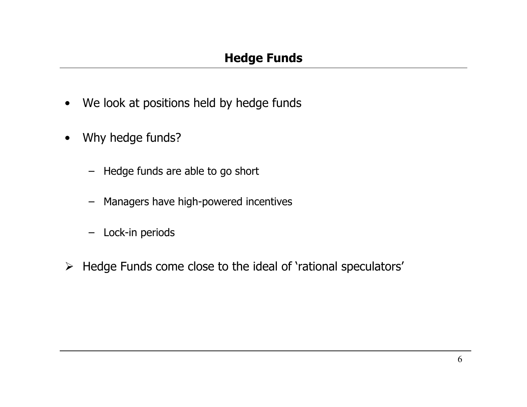- •We look at positions held by hedge funds
- • Why hedge funds?
	- Hedge funds are able to go short
	- Managers have high-powered incentives
	- Lock-in periods
- ¾ Hedge Funds come close to the ideal of 'rational speculators'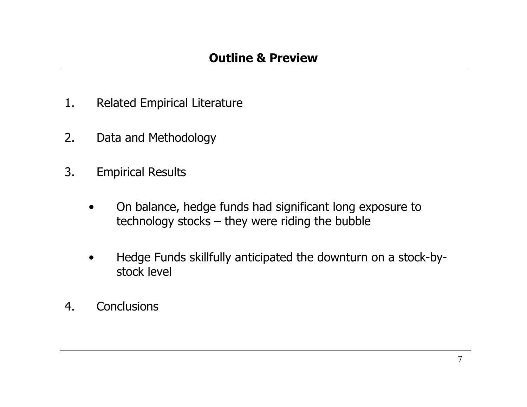- 1.Related Empirical Literature
- 2.Data and Methodology
- 3. Empirical Results
	- • On balance, hedge funds had significant long exposure to technology stocks – they were riding the bubble
	- • Hedge Funds skillfully anticipated the downturn on a stock-bystock level
- 4.**Conclusions**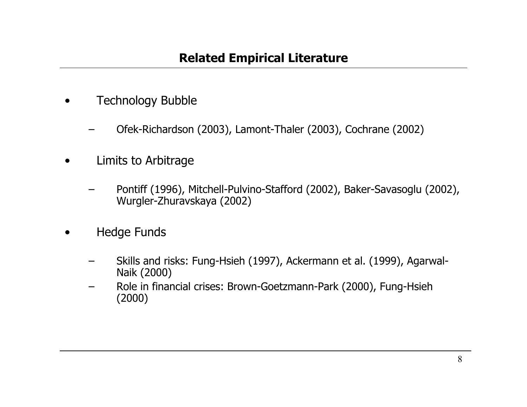- • Technology Bubble
	- –Ofek-Richardson (2003), Lamont-Thaler (2003), Cochrane (2002)
- • Limits to Arbitrage
	- Pontiff (1996), Mitchell-Pulvino-Stafford (2002), Baker-Savasoglu (2002), Wurgler-Zhuravskaya (2002)
- • Hedge Funds
	- – Skills and risks: Fung-Hsieh (1997), Ackermann et al. (1999), Agarwal-Naik (2000)
	- Role in financial crises: Brown-Goetzmann-Park (2000), Fung-Hsieh (2000)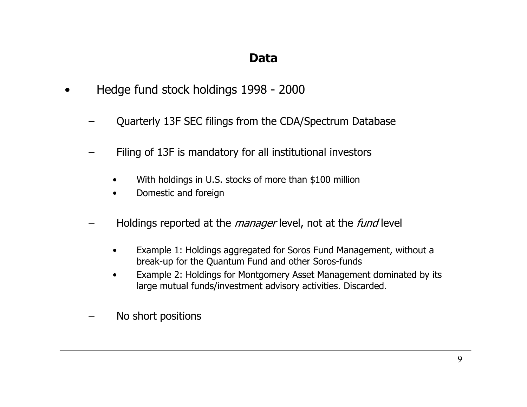- • Hedge fund stock holdings 1998 - 2000
	- Quarterly 13F SEC filings from the CDA/Spectrum Database
	- Filing of 13F is mandatory for all institutional investors
		- •With holdings in U.S. stocks of more than \$100 million
		- •Domestic and foreign
	- Holdings reported at the *manager* level, not at the *fund* level
		- • Example 1: Holdings aggregated for Soros Fund Management, without a break-up for the Quantum Fund and other Soros-funds
		- • Example 2: Holdings for Montgomery Asset Management dominated by its large mutual funds/investment advisory activities. Discarded.
	- No short positions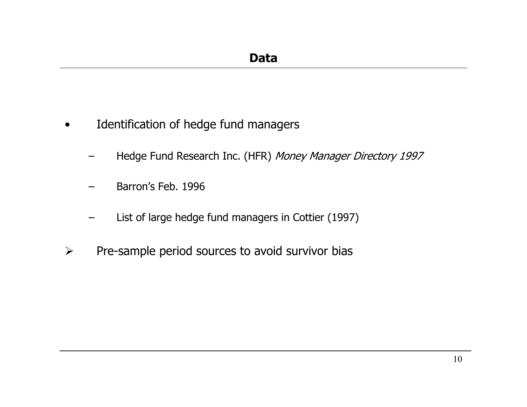- • Identification of hedge fund managers
	- –Hedge Fund Research Inc. (HFR) Money Manager Directory 1997
	- Barron's Feb. 1996
	- –List of large hedge fund managers in Cottier (1997)
- $\blacktriangleright$ Pre-sample period sources to avoid survivor bias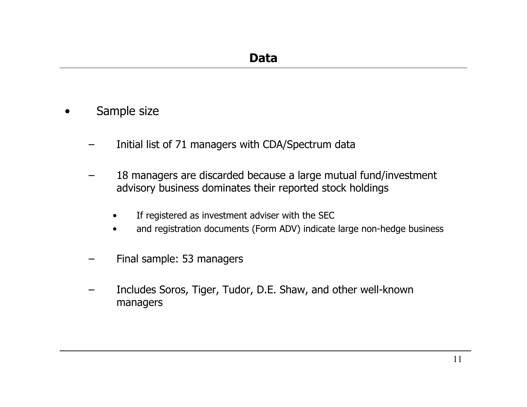- • Sample size
	- –Initial list of 71 managers with CDA/Spectrum data
	- – 18 managers are discarded because a large mutual fund/investment advisory business dominates their reported stock holdings
		- •If registered as investment adviser with the SEC
		- •and registration documents (Form ADV) indicate large non-hedge business
	- –Final sample: 53 managers
	- Includes Soros, Tiger, Tudor, D.E. Shaw, and other well-known managers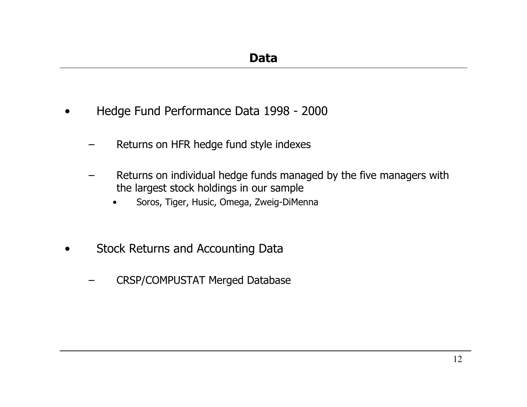- • Hedge Fund Performance Data 1998 - 2000
	- –Returns on HFR hedge fund style indexes
	- – Returns on individual hedge funds managed by the five managers with the largest stock holdings in our sample
		- •Soros, Tiger, Husic, Omega, Zweig-DiMenna
- • Stock Returns and Accounting Data
	- CRSP/COMPUSTAT Merged Database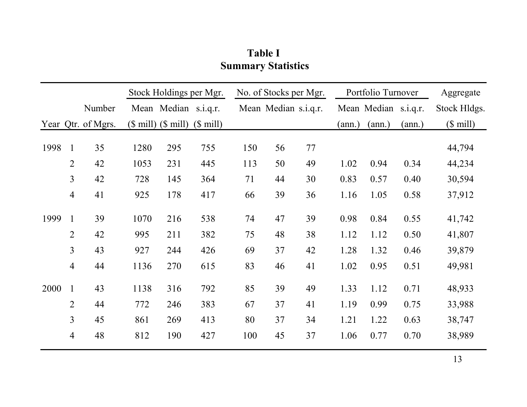### **Table I Summary Statistics**

|      |                |                    | Stock Holdings per Mgr.  |     |            | No. of Stocks per Mgr. |    |    | Portfolio Turnover   |        |        | Aggregate    |
|------|----------------|--------------------|--------------------------|-----|------------|------------------------|----|----|----------------------|--------|--------|--------------|
|      |                | Number             | Mean Median s.i.q.r.     |     |            | Mean Median s.i.q.r.   |    |    | Mean Median s.i.q.r. |        |        | Stock Hldgs. |
|      |                | Year Qtr. of Mgrs. | $($$ mill $)($$ mill $)$ |     | $($$ mill) |                        |    |    | (ann.)               | (ann.) | (ann.) | $($$ mill)   |
| 1998 | $\mathbf{1}$   | 35                 | 1280                     | 295 | 755        | 150                    | 56 | 77 |                      |        |        | 44,794       |
|      | $\overline{2}$ | 42                 | 1053                     | 231 | 445        | 113                    | 50 | 49 | 1.02                 | 0.94   | 0.34   | 44,234       |
|      | $\overline{3}$ | 42                 | 728                      | 145 | 364        | 71                     | 44 | 30 | 0.83                 | 0.57   | 0.40   | 30,594       |
|      | $\overline{4}$ | 41                 | 925                      | 178 | 417        | 66                     | 39 | 36 | 1.16                 | 1.05   | 0.58   | 37,912       |
| 1999 | $\mathbf{1}$   | 39                 | 1070                     | 216 | 538        | 74                     | 47 | 39 | 0.98                 | 0.84   | 0.55   | 41,742       |
|      | $\overline{2}$ | 42                 | 995                      | 211 | 382        | 75                     | 48 | 38 | 1.12                 | 1.12   | 0.50   | 41,807       |
|      | $\overline{3}$ | 43                 | 927                      | 244 | 426        | 69                     | 37 | 42 | 1.28                 | 1.32   | 0.46   | 39,879       |
|      | $\overline{4}$ | 44                 | 1136                     | 270 | 615        | 83                     | 46 | 41 | 1.02                 | 0.95   | 0.51   | 49,981       |
| 2000 | $\mathbf{1}$   | 43                 | 1138                     | 316 | 792        | 85                     | 39 | 49 | 1.33                 | 1.12   | 0.71   | 48,933       |
|      | $\overline{2}$ | 44                 | 772                      | 246 | 383        | 67                     | 37 | 41 | 1.19                 | 0.99   | 0.75   | 33,988       |
|      | 3              | 45                 | 861                      | 269 | 413        | 80                     | 37 | 34 | 1.21                 | 1.22   | 0.63   | 38,747       |
|      | $\overline{4}$ | 48                 | 812                      | 190 | 427        | 100                    | 45 | 37 | 1.06                 | 0.77   | 0.70   | 38,989       |
|      |                |                    |                          |     |            |                        |    |    |                      |        |        |              |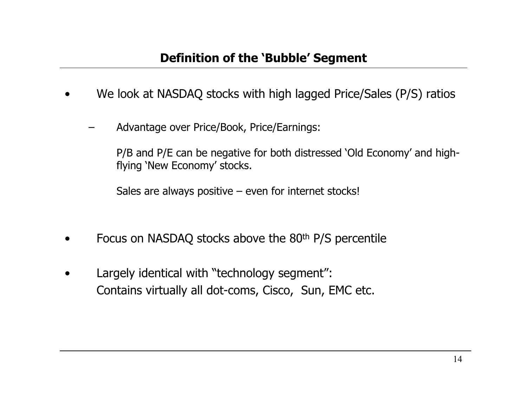- •We look at NASDAQ stocks with high lagged Price/S ales (P/S) ratios
	- Advantage over Price/Book, Price/Earnings:

P/B and P/E can be negative for both distressed 'Old Economy' and highflying 'New Economy' stocks.

Sales are always positive – even for internet stocks!

- •Focus on NASDAQ stocks above the 80<sup>th</sup> P/S percentile
- •Largely identic al with "technology segment": Contains virtually all dot-coms, Cisco, Sun, EMC etc.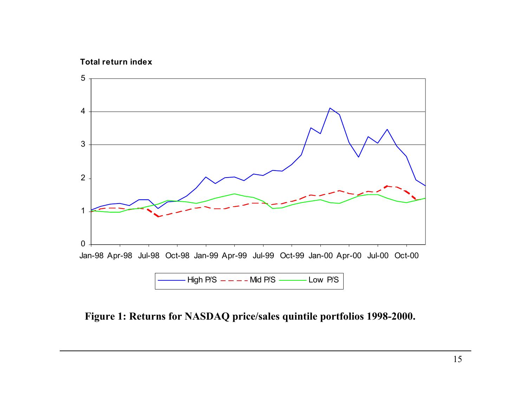### **Total return index**



### **Figure 1: Returns for NASDAQ price/sales quintile portfolios 1998-2000.**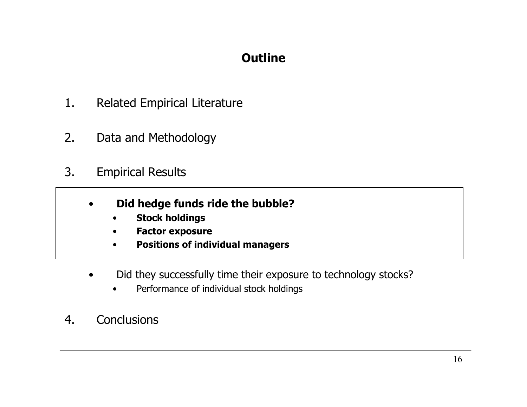- 1.Related Empirical Literature
- 2.Data and Methodology
- 3. Empirical Results
	- • **Did hedge funds ride the bubble?**
		- •**Stock holdings**
		- •**Factor exposure**
		- •**Positions of individual managers**
	- • Did they successfully time their exposure to technology stocks?
		- •Performance of individual stock holdings
- 4.**Conclusions**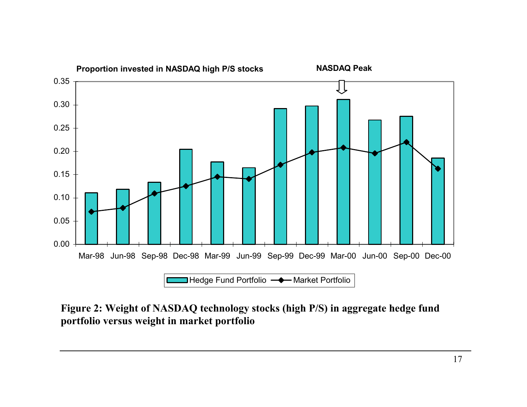

**Figure 2: Weight of NASDAQ technology stocks (high P/S) in aggregate hedge fund portfolio versus weight in market portfolio**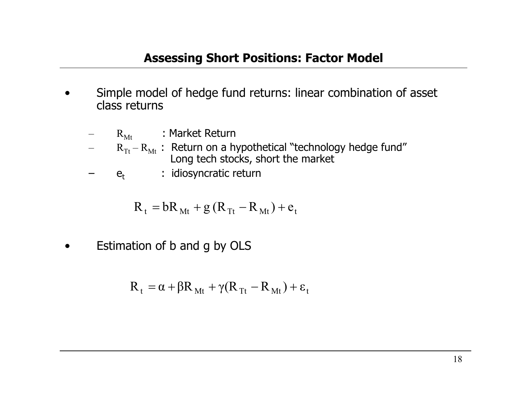- •Simple model of hedge fund returns: linear combination of asset class returns
	- – $R_{Mt}$ : Market Return
	- $R_{Tt}$   $R_{Mt}$  : Return on a hypothetical "technology hedge fund" Long tech stocks, short the market
	- $e_t$ : idiosyncratic return

$$
R_t = bR_{Mt} + g(R_{Tt} - R_{Mt}) + e_t
$$

•Estimation of b and g by OLS

$$
R_t = \alpha + \beta R_{Mt} + \gamma (R_{Tt} - R_{Mt}) + \epsilon_t
$$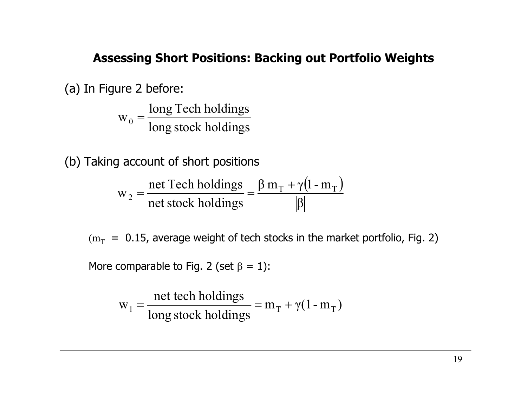(a) In Figure 2 before:

long stock holdings long Tech holdings  $\mathrm{W}_\mathrm{0}$ =

(b) Taking account of short positions

$$
w_2 = \frac{\text{net Tech holdings}}{\text{net stock holdings}} = \frac{\beta m_T + \gamma (1 - m_T)}{|\beta|}
$$

 $\rm (m_{T}$  = 0.15, average weight of tech stocks in the market portfolio, Fig. 2)

More comparable to Fig. 2 (set  $\beta$  = 1):

$$
w_1 = \frac{net \text{ tech holdings}}{\text{long stock holdings}} = m_T + \gamma(1 - m_T)
$$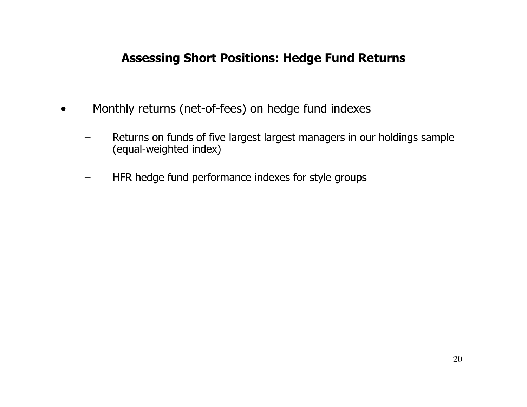- •Monthly returns (net-of-fees) on hedge fund indexes
	- –Returns on funds of five largest largest managers in our holdings sample (equal-weighted index)
	- –H F R hedge f und performance i ndex es for style groups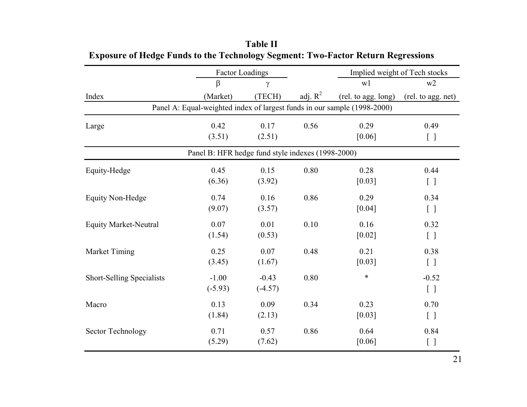|                                                                          |           | <b>Factor Loadings</b> |            |                     | Implied weight of Tech stocks   |  |  |  |  |
|--------------------------------------------------------------------------|-----------|------------------------|------------|---------------------|---------------------------------|--|--|--|--|
|                                                                          | $\beta$   | γ                      |            | w1                  | w2                              |  |  |  |  |
| Index                                                                    | (Market)  | (TECH)                 | adj. $R^2$ | (rel. to agg. long) | (rel. to agg. net)              |  |  |  |  |
| Panel A: Equal-weighted index of largest funds in our sample (1998-2000) |           |                        |            |                     |                                 |  |  |  |  |
| Large                                                                    | 0.42      | 0.17                   | 0.56       | 0.29                | 0.49                            |  |  |  |  |
|                                                                          | (3.51)    | (2.51)                 |            | [0.06]              | $[ \ ]$                         |  |  |  |  |
| Panel B: HFR hedge fund style indexes (1998-2000)                        |           |                        |            |                     |                                 |  |  |  |  |
| Equity-Hedge                                                             | 0.45      | 0.15                   | 0.80       | 0.28                | 0.44                            |  |  |  |  |
|                                                                          | (6.36)    | (3.92)                 |            | [0.03]              | $[ \ ]$                         |  |  |  |  |
| <b>Equity Non-Hedge</b>                                                  | 0.74      | 0.16                   | 0.86       | 0.29                | 0.34                            |  |  |  |  |
|                                                                          | (9.07)    | (3.57)                 |            | $[0.04]$            | $[\ ]$                          |  |  |  |  |
| <b>Equity Market-Neutral</b>                                             | 0.07      | 0.01                   | 0.10       | 0.16                | 0.32                            |  |  |  |  |
|                                                                          | (1.54)    | (0.53)                 |            | $[0.02]$            | $[\ ]$                          |  |  |  |  |
| Market Timing                                                            | 0.25      | 0.07                   | 0.48       | 0.21                | 0.38                            |  |  |  |  |
|                                                                          | (3.45)    | (1.67)                 |            | [0.03]              | $\begin{bmatrix} \end{bmatrix}$ |  |  |  |  |
| <b>Short-Selling Specialists</b>                                         | $-1.00$   | $-0.43$                | 0.80       | $\ast$              | $-0.52$                         |  |  |  |  |
|                                                                          | $(-5.93)$ | $(-4.57)$              |            |                     | $\begin{bmatrix} \end{bmatrix}$ |  |  |  |  |
| Macro                                                                    | 0.13      | 0.09                   | 0.34       | 0.23                | 0.70                            |  |  |  |  |
|                                                                          | (1.84)    | (2.13)                 |            | [0.03]              | $\begin{bmatrix} \end{bmatrix}$ |  |  |  |  |
| <b>Sector Technology</b>                                                 | 0.71      | 0.57                   | 0.86       | 0.64                | 0.84                            |  |  |  |  |
|                                                                          | (5.29)    | (7.62)                 |            | [0.06]              | $[ \ ]$                         |  |  |  |  |

### **Table II Exposure of Hedge Funds to the Technology Segment: Two-Factor Return Regressions**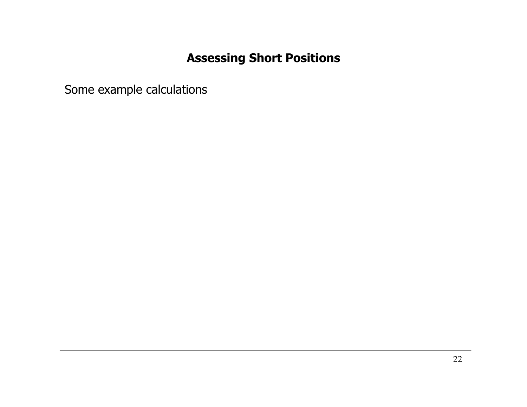Some example calculation s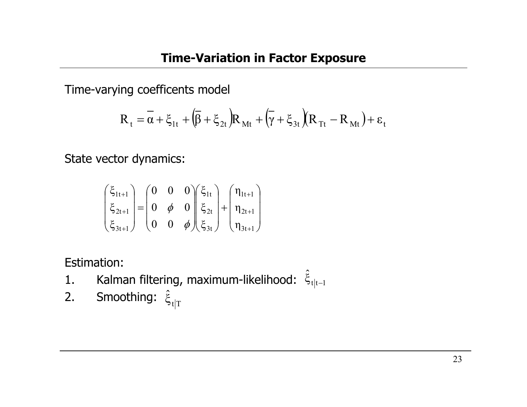Time-varying coefficents model

$$
R_{t} = \overline{\alpha} + \xi_{1t} + (\overline{\beta} + \xi_{2t})R_{Mt} + (\overline{\gamma} + \xi_{3t})(R_{Tt} - R_{Mt}) + \varepsilon_{t}
$$

State vector dynamics:

$$
\begin{pmatrix} \xi_{1t+1} \\ \xi_{2t+1} \\ \xi_{3t+1} \end{pmatrix} = \begin{pmatrix} 0 & 0 & 0 \\ 0 & \phi & 0 \\ 0 & 0 & \phi \end{pmatrix} \begin{pmatrix} \xi_{1t} \\ \xi_{2t} \\ \xi_{3t} \end{pmatrix} + \begin{pmatrix} \eta_{1t+1} \\ \eta_{2t+1} \\ \eta_{3t+1} \end{pmatrix}
$$

Estimation:

- 1.. Kalman filtering, maximum-likelihood:  $\hat{\xi}_{t|t-1}$ −r∣t−
- 2.. Smoothing:  $\hat{\boldsymbol{\xi}}_{\mathsf{t}|\mathrm{T}}$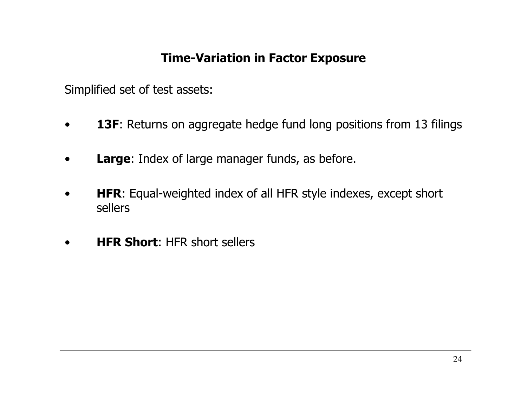Simplified set of test assets:

- •**13F:** Returns on aggregate hedge fund long positions from 13 filings
- •**Large**: Index of large manager funds, as before.
- •• **HFR:** Equal-weighted index of all HFR style indexes, except short sellers
- •**HFR Short**: HFR short sellers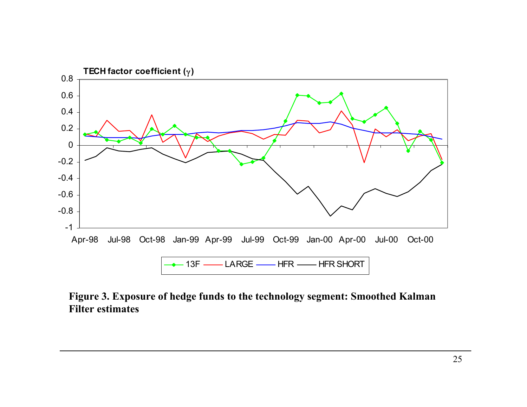

**Figure 3. Exposure of hedge funds to the technology segment: Smoothed Kalman Filter estimates**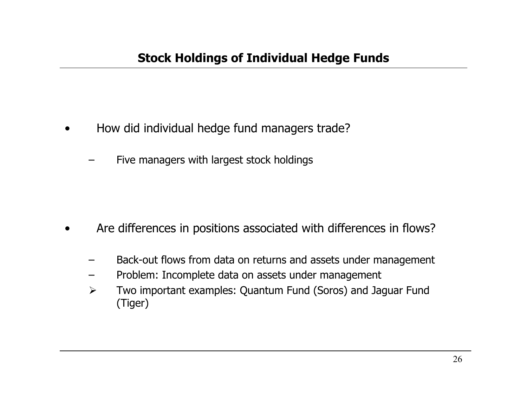- •How did individual hedge fund managers trade?
	- –Five managers with largest stock holdings

- •Are differences in positions associated with differences in flows?
	- Back-out flows from data on returns and assets under management
	- Problem: Incomplete data on assets under management
	- $\blacktriangleright$  Two imp ortant examples: Quantum Fund (Soros) and Jaguar Fund (Tiger)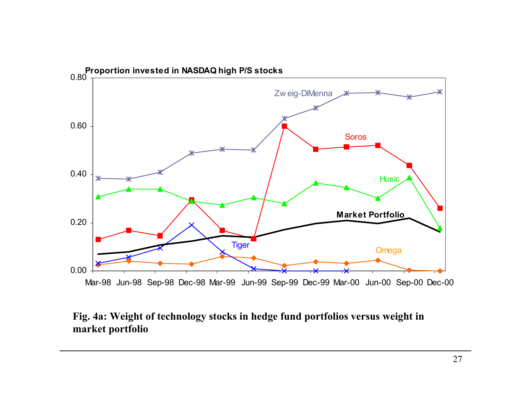

### **Fig. 4a: Weight of technology stocks in hedge fund portfolios versus weight in market portfolio**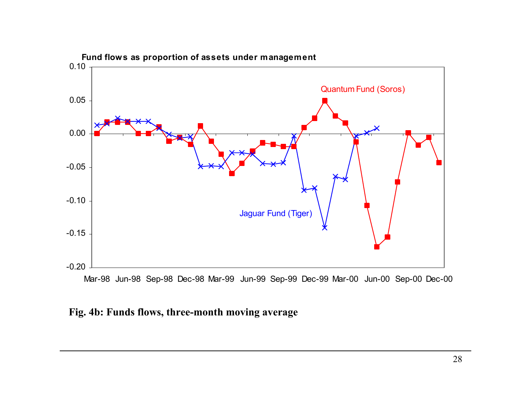

M ar-9 8 Jun-98 S ep-98 D e c-98 M ar-99 Jun-99 S ep-99 D e c-99 M ar-0 0 Jun-00 S ep-00 D e c-00

### **Fig. 4b: Funds flows, three-month moving average**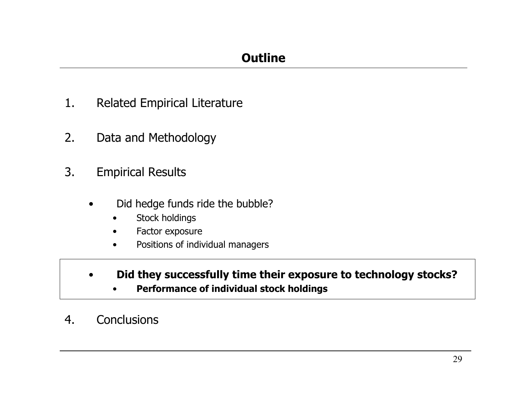- 1.Related Empirical Literature
- 2.Data and Methodology
- 3. Empirical Results
	- • Did hedge funds ride the bubble?
		- •Stock holdings
		- •Factor exposure
		- •Positions of individual managers
	- • **Did they successfully time their exposure to technology stocks?**
		- •**Performance of individual stock holdings**
- 4.**Conclusions**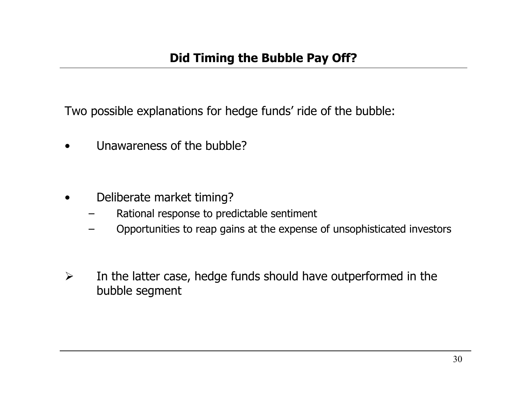Two possible explanations for hedge funds' ride of the bubble:

•Unawareness of the bubble?

- • Deliberate market timing?
	- –Rational response to predictable sentiment
	- Opportunities to reap gains at the expense of unsophisticated investors
- $\blacktriangleright$  In the latter case, hedge funds should have outperformed in the bubble segment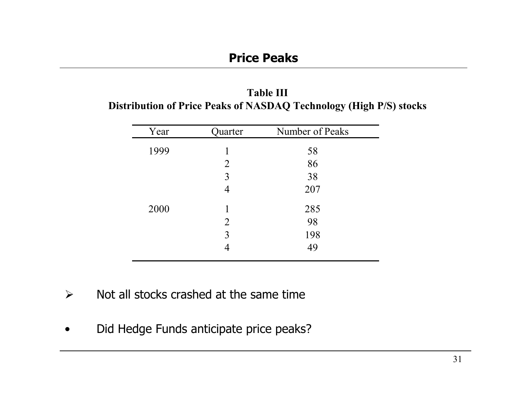| <b>Table III</b>                                                   |
|--------------------------------------------------------------------|
| Distribution of Price Peaks of NASDAQ Technology (High P/S) stocks |

| Year | Quarter        | Number of Peaks |
|------|----------------|-----------------|
| 1999 | 1              | 58              |
|      | 2              | 86              |
|      | 3              | 38              |
|      | 4              | 207             |
| 2000 |                | 285             |
|      | $\overline{2}$ | 98              |
|      | 3              | 198             |
|      |                | 49              |
|      |                |                 |

- $\blacktriangleright$ Not all stocks crashed at the same time
- •Did Hedge Funds anticipate price peaks?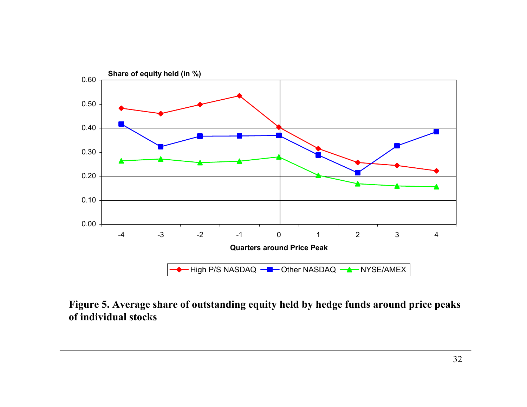

**Figure 5. Average share of outstanding equity held by hedge funds around price peaks of individual stocks**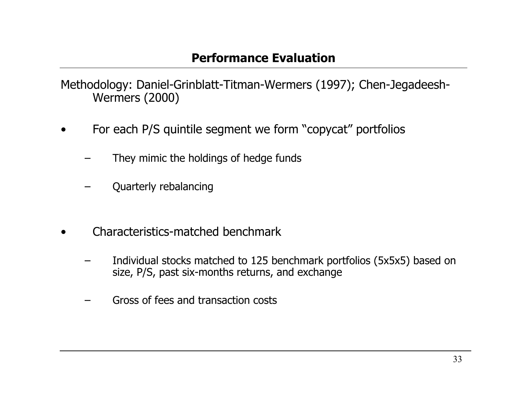Methodology: Daniel-Grinblatt-Titman-Wermers (1997); Chen-Jegadeesh-Wermers (2000)

- • For each P/S quintile segment we form "copycat" portfolios
	- They mimic the holdings of hedge funds
	- Quarterly rebalancing
- • Characteristics-matched benchmark
	- Individual stocks matched to 125 benchmark portfolios (5x5x5) based on size, P/S, past six-months returns, and exchange
	- Gross of fees and transaction costs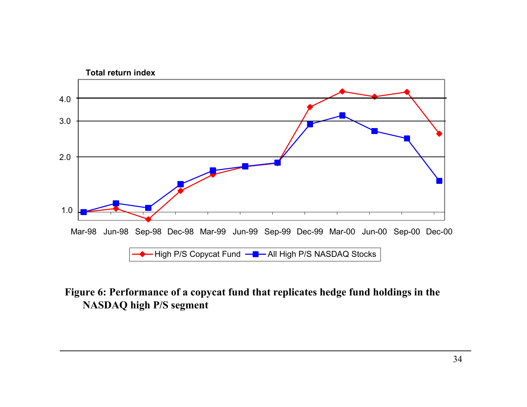

### **Figure 6: Performance of a copycat fund that replicates hedge fund holdings in the NASDAQ high P/S segment**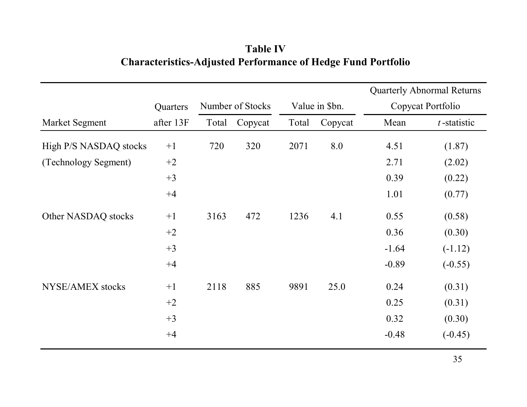## **Table IV Characteristics-Adjusted Performance of Hedge Fund Portfolio**

|                        |           |                  |         |                |         | <b>Quarterly Abnormal Returns</b> |                |
|------------------------|-----------|------------------|---------|----------------|---------|-----------------------------------|----------------|
|                        | Quarters  | Number of Stocks |         | Value in \$bn. |         | Copycat Portfolio                 |                |
| Market Segment         | after 13F | Total            | Copycat | Total          | Copycat | Mean                              | $t$ -statistic |
| High P/S NASDAQ stocks | $+1$      | 720              | 320     | 2071           | 8.0     | 4.51                              | (1.87)         |
| (Technology Segment)   | $+2$      |                  |         |                |         | 2.71                              | (2.02)         |
|                        | $+3$      |                  |         |                |         | 0.39                              | (0.22)         |
|                        | $+4$      |                  |         |                |         | 1.01                              | (0.77)         |
| Other NASDAQ stocks    | $+1$      | 3163             | 472     | 1236           | 4.1     | 0.55                              | (0.58)         |
|                        | $+2$      |                  |         |                |         | 0.36                              | (0.30)         |
|                        | $+3$      |                  |         |                |         | $-1.64$                           | $(-1.12)$      |
|                        | $+4$      |                  |         |                |         | $-0.89$                           | $(-0.55)$      |
| NYSE/AMEX stocks       | $+1$      | 2118             | 885     | 9891           | 25.0    | 0.24                              | (0.31)         |
|                        | $+2$      |                  |         |                |         | 0.25                              | (0.31)         |
|                        | $+3$      |                  |         |                |         | 0.32                              | (0.30)         |
|                        | $+4$      |                  |         |                |         | $-0.48$                           | $(-0.45)$      |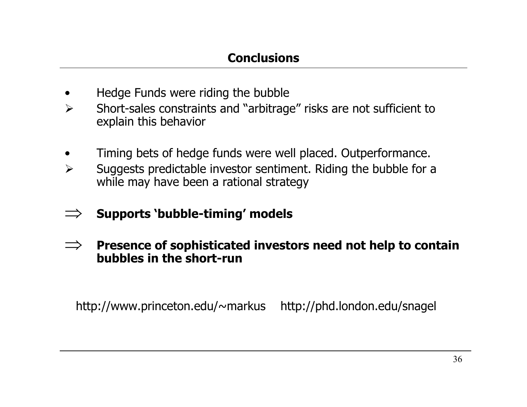- •Hedge Funds were riding the bubble
- $\blacktriangleright$  Short-sales constraints and "arbitrage" risks are not sufficient to explain this behavior
- •Timing bets of hedge funds were well placed. Outperformance.
- $\blacktriangleright$  Suggests predictable investor sentiment. Riding the bubble for a while may have been a rational strategy
- ⇒**Supports 'bubble-timing' models**
- ⇒ **Presence of sophisticated investors need not help to contain bubbles in the short-run**

http://www.princeton.edu/~markus http://phd.london.edu/snagel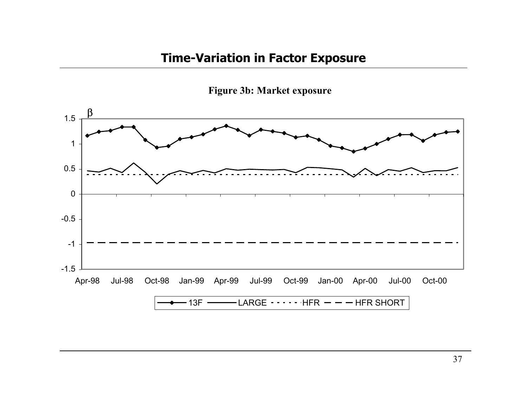## **Time-Variation in Factor Exposure**



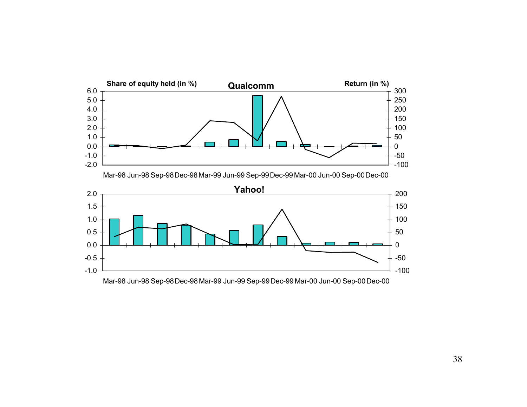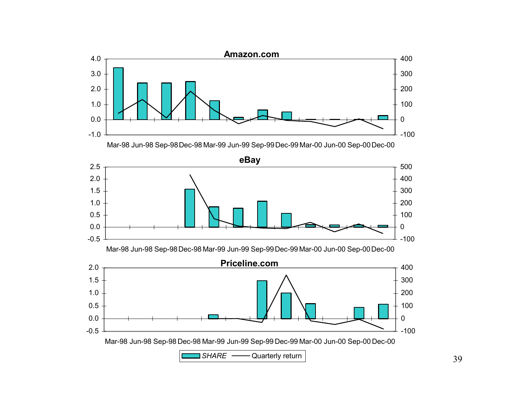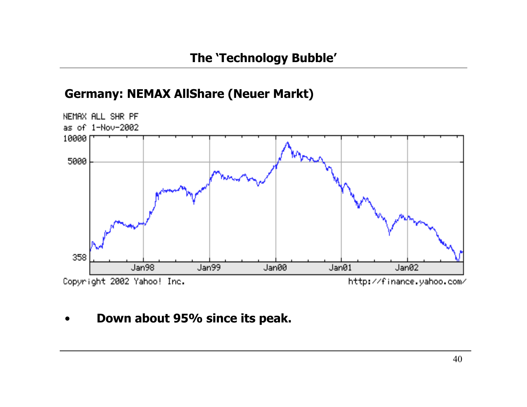## **Germany: NEMAX AllShare (Neuer Markt)**



#### •**Down about 95% since its peak.**